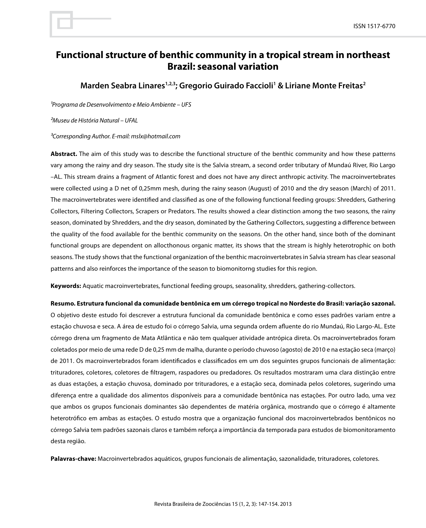# **Functional structure of benthic community in a tropical stream in northeast Brazil: seasonal variation**

Marden Seabra Linares<sup>1,2,3</sup>; Gregorio Guirado Faccioli<sup>1</sup> & Liriane Monte Freitas<sup>2</sup>

*¹Programa de Desenvolvimento e Meio Ambiente – UFS*

*²Museu de História Natural – UFAL*

*³Corresponding Author. E-mail: mslx@hotmail.com*

**Abstract.** The aim of this study was to describe the functional structure of the benthic community and how these patterns vary among the rainy and dry season. The study site is the Salvia stream, a second order tributary of Mundaú River, Rio Largo –AL. This stream drains a fragment of Atlantic forest and does not have any direct anthropic activity. The macroinvertebrates were collected using a D net of 0,25mm mesh, during the rainy season (August) of 2010 and the dry season (March) of 2011. The macroinvertebrates were identified and classified as one of the following functional feeding groups: Shredders, Gathering Collectors, Filtering Collectors, Scrapers or Predators. The results showed a clear distinction among the two seasons, the rainy season, dominated by Shredders, and the dry season, dominated by the Gathering Collectors, suggesting a difference between the quality of the food available for the benthic community on the seasons. On the other hand, since both of the dominant functional groups are dependent on allocthonous organic matter, its shows that the stream is highly heterotrophic on both seasons. The study shows that the functional organization of the benthic macroinvertebrates in Salvia stream has clear seasonal patterns and also reinforces the importance of the season to biomonitorng studies for this region.

**Keywords:** Aquatic macroinvertebrates, functional feeding groups, seasonality, shredders, gathering-collectors.

**Resumo. Estrutura funcional da comunidade bentônica em um córrego tropical no Nordeste do Brasil: variação sazonal.**

O objetivo deste estudo foi descrever a estrutura funcional da comunidade bentônica e como esses padrões variam entre a estação chuvosa e seca. A área de estudo foi o córrego Salvia, uma segunda ordem afluente do rio Mundaú, Rio Largo-AL. Este córrego drena um fragmento de Mata Atlântica e não tem qualquer atividade antrópica direta. Os macroinvertebrados foram coletados por meio de uma rede D de 0,25 mm de malha, durante o período chuvoso (agosto) de 2010 e na estação seca (março) de 2011. Os macroinvertebrados foram identificados e classificados em um dos seguintes grupos funcionais de alimentação: trituradores, coletores, coletores de filtragem, raspadores ou predadores. Os resultados mostraram uma clara distinção entre as duas estações, a estação chuvosa, dominado por trituradores, e a estação seca, dominada pelos coletores, sugerindo uma diferença entre a qualidade dos alimentos disponíveis para a comunidade bentônica nas estações. Por outro lado, uma vez que ambos os grupos funcionais dominantes são dependentes de matéria orgânica, mostrando que o córrego é altamente heterotrófico em ambas as estações. O estudo mostra que a organização funcional dos macroinvertebrados bentônicos no córrego Salvia tem padrões sazonais claros e também reforça a importância da temporada para estudos de biomonitoramento desta região.

**Palavras-chave:** Macroinvertebrados aquáticos, grupos funcionais de alimentação, sazonalidade, trituradores, coletores.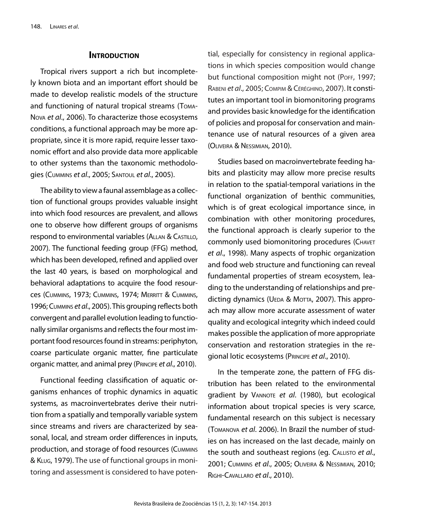### **INTRODUCTION**

Tropical rivers support a rich but incompletely known biota and an important effort should be made to develop realistic models of the structure and functioning of natural tropical streams (Toma-Nova *et al*., 2006). To characterize those ecosystems conditions, a functional approach may be more appropriate, since it is more rapid, require lesser taxonomic effort and also provide data more applicable to other systems than the taxonomic methodologies (Cummins *et al*., 2005; Santoul *et al*., 2005).

The ability to view a faunal assemblage as a collection of functional groups provides valuable insight into which food resources are prevalent, and allows one to observe how different groups of organisms respond to environmental variables (Allan & Castillo, 2007). The functional feeding group (FFG) method, which has been developed, refined and applied over the last 40 years, is based on morphological and behavioral adaptations to acquire the food resources (Cummins, 1973; Cummins, 1974; Merritt & Cummins, 1996; Cummins *et al*., 2005). This grouping reflects both convergent and parallel evolution leading to functionally similar organisms and reflects the four most important food resources found in streams: periphyton, coarse particulate organic matter, fine particulate organic matter, and animal prey (Principe *et al*., 2010).

Functional feeding classification of aquatic organisms enhances of trophic dynamics in aquatic systems, as macroinvertebrates derive their nutrition from a spatially and temporally variable system since streams and rivers are characterized by seasonal, local, and stream order differences in inputs, production, and storage of food resources (Cummins & Klug, 1979). The use of functional groups in monitoring and assessment is considered to have potential, especially for consistency in regional applications in which species composition would change but functional composition might not (POFF, 1997; Rabeni *et al*., 2005; Compim & Céréghino, 2007). It constitutes an important tool in biomonitoring programs and provides basic knowledge for the identification of policies and proposal for conservation and maintenance use of natural resources of a given area (Oliveira & Nessimian, 2010).

Studies based on macroinvertebrate feeding habits and plasticity may allow more precise results in relation to the spatial-temporal variations in the functional organization of benthic communities, which is of great ecological importance since, in combination with other monitoring procedures, the functional approach is clearly superior to the commonly used biomonitoring procedures (Chavet *et al*., 1998). Many aspects of trophic organization and food web structure and functioning can reveal fundamental properties of stream ecosystem, leading to the understanding of relationships and predicting dynamics (UEDA & MOTTA, 2007). This approach may allow more accurate assessment of water quality and ecological integrity which indeed could makes possible the application of more appropriate conservation and restoration strategies in the regional lotic ecosystems (Principe *et al*., 2010).

In the temperate zone, the pattern of FFG distribution has been related to the environmental gradient by VANNOTE et al. (1980), but ecological information about tropical species is very scarce, fundamental research on this subject is necessary (Tomanova *et al*. 2006). In Brazil the number of studies on has increased on the last decade, mainly on the south and southeast regions (eg. Callisto *et al*., 2001; Cummins *et al*., 2005; Oliveira & Nessimian, 2010; Righi-Cavallaro *et al*., 2010).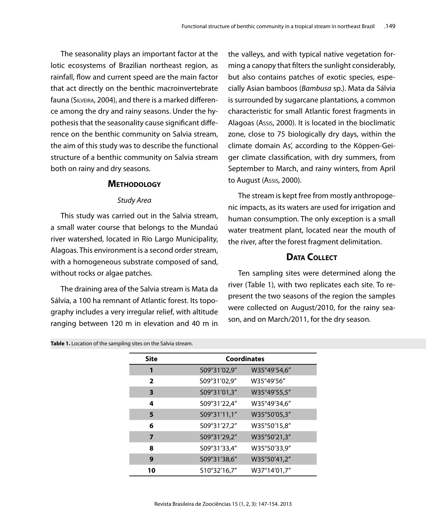The seasonality plays an important factor at the lotic ecosystems of Brazilian northeast region, as rainfall, flow and current speed are the main factor that act directly on the benthic macroinvertebrate fauna (Silveira, 2004), and there is a marked difference among the dry and rainy seasons. Under the hypothesis that the seasonality cause significant difference on the benthic community on Salvia stream, the aim of this study was to describe the functional structure of a benthic community on Salvia stream both on rainy and dry seasons.

# **Methodology**

#### *Study Area*

This study was carried out in the Salvia stream, a small water course that belongs to the Mundaú river watershed, located in Rio Largo Municipality, Alagoas. This environment is a second order stream, with a homogeneous substrate composed of sand, without rocks or algae patches.

The draining area of the Salvia stream is Mata da Sálvia, a 100 ha remnant of Atlantic forest. Its topography includes a very irregular relief, with altitude ranging between 120 m in elevation and 40 m in the valleys, and with typical native vegetation forming a canopy that filters the sunlight considerably, but also contains patches of exotic species, especially Asian bamboos (*Bambusa* sp.). Mata da Sálvia is surrounded by sugarcane plantations, a common characteristic for small Atlantic forest fragments in Alagoas (Assis, 2000). It is located in the bioclimatic zone, close to 75 biologically dry days, within the climate domain As', according to the Köppen-Geiger climate classification, with dry summers, from September to March, and rainy winters, from April to August (Assis, 2000).

The stream is kept free from mostly anthropogenic impacts, as its waters are used for irrigation and human consumption. The only exception is a small water treatment plant, located near the mouth of the river, after the forest fragment delimitation.

# **Data Collect**

Ten sampling sites were determined along the river (Table 1), with two replicates each site. To represent the two seasons of the region the samples were collected on August/2010, for the rainy season, and on March/2011, for the dry season.

**Table 1.** Location of the sampling sites on the Salvia stream.

| <b>Site</b>    |              | <b>Coordinates</b> |  |  |
|----------------|--------------|--------------------|--|--|
| 1              | S09°31'02,9" | W35°49'54,6"       |  |  |
| $\overline{2}$ | S09°31'02,9" | W35°49'56"         |  |  |
| 3              | S09°31'01,3" | W35°49'55,5"       |  |  |
| 4              | S09°31'22,4" | W35°49'34,6"       |  |  |
| 5              | S09°31'11,1" | W35°50'05,3"       |  |  |
| 6              | S09°31'27,2" | W35°50'15,8"       |  |  |
| 7              | S09°31'29,2" | W35°50'21,3"       |  |  |
| 8              | S09°31'33,4" | W35°50'33,9"       |  |  |
| 9              | S09°31'38,6" | W35°50'41,2"       |  |  |
| 10             | S10°32'16,7" | W37°14'01,7"       |  |  |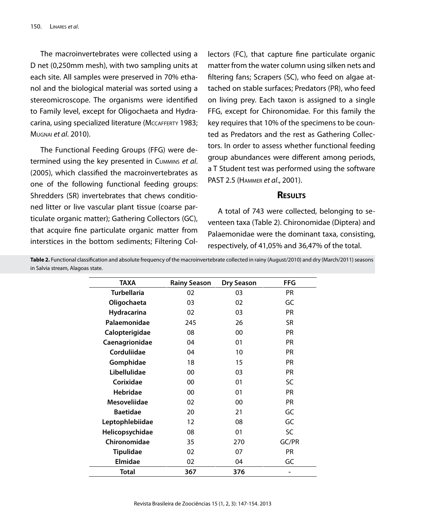The macroinvertebrates were collected using a D net (0,250mm mesh), with two sampling units at each site. All samples were preserved in 70% ethanol and the biological material was sorted using a stereomicroscope. The organisms were identified to Family level, except for Oligochaeta and Hydracarina, using specialized literature (MCCAFFERTY 1983; Mugnai *et al*. 2010).

The Functional Feeding Groups (FFG) were determined using the key presented in Cummins *et al*. (2005), which classified the macroinvertebrates as one of the following functional feeding groups: Shredders (SR) invertebrates that chews conditioned litter or live vascular plant tissue (coarse particulate organic matter); Gathering Collectors (GC), that acquire fine particulate organic matter from interstices in the bottom sediments; Filtering Collectors (FC), that capture fine particulate organic matter from the water column using silken nets and filtering fans; Scrapers (SC), who feed on algae attached on stable surfaces; Predators (PR), who feed on living prey. Each taxon is assigned to a single FFG, except for Chironomidae. For this family the key requires that 10% of the specimens to be counted as Predators and the rest as Gathering Collectors. In order to assess whether functional feeding group abundances were different among periods, a T Student test was performed using the software PAST 2.5 (Hammer *et al*., 2001).

### **Results**

A total of 743 were collected, belonging to seventeen taxa (Table 2). Chironomidae (Diptera) and Palaemonidae were the dominant taxa, consisting, respectively, of 41,05% and 36,47% of the total.

**Table 2.** Functional classification and absolute frequency of the macroinvertebrate collected in rainy (August/2010) and dry (March/2011) seasons in Salvia stream, Alagoas state.

| <b>AXAT</b>         | <b>Rainy Season</b> | <b>Dry Season</b> | FFG       |
|---------------------|---------------------|-------------------|-----------|
| <b>Turbellaria</b>  | 02                  | 03                | PR.       |
| Oligochaeta         | 03                  | 02                | GC        |
| Hydracarina         | 02                  | 03                | <b>PR</b> |
| Palaemonidae        | 245                 | 26                | <b>SR</b> |
| Calopterigidae      | 08                  | 00                | <b>PR</b> |
| Caenagrionidae      | 04                  | 01                | <b>PR</b> |
| Corduliidae         | 04                  | 10                | PR.       |
| Gomphidae           | 18                  | 15                | <b>PR</b> |
| Libellulidae        | 00                  | 03                | <b>PR</b> |
| Corixidae           | 00                  | 01                | SC        |
| <b>Hebridae</b>     | 00                  | 01                | PR.       |
| <b>Mesoveliidae</b> | 02                  | 00                | <b>PR</b> |
| <b>Baetidae</b>     | 20                  | 21                | GC        |
| Leptophlebiidae     | 12                  | 08                | GC        |
| Helicopsychidae     | 08                  | 01                | SC        |
| Chironomidae        | 35                  | 270               | GC/PR     |
| <b>Tipulidae</b>    | 02                  | 07                | <b>PR</b> |
| Elmidae             | 02                  | 04                | GC        |
| Total               | 367                 | 376               |           |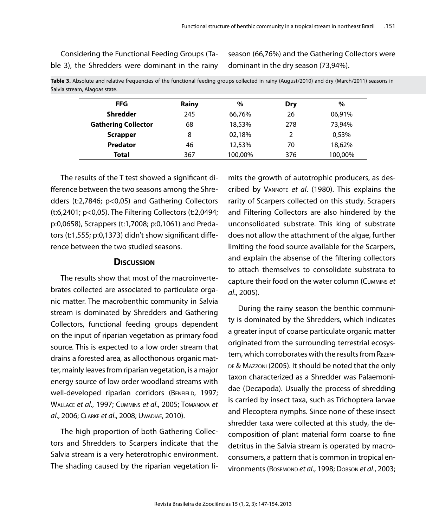Considering the Functional Feeding Groups (Table 3), the Shredders were dominant in the rainy season (66,76%) and the Gathering Collectors were dominant in the dry season (73,94%).

| <b>FFG</b>                 | Rainy | $\%$   | Drv | $\%$   |
|----------------------------|-------|--------|-----|--------|
| <b>Shredder</b>            | 245   | 66,76% | 26  | 06,91% |
| <b>Gathering Collector</b> | 68    | 18,53% | 278 | 73,94% |
| <b>Scrapper</b>            | 8     | 02,18% |     | 0,53%  |
| <b>Predator</b>            | 46    | 12,53% | 70  | 18,62% |

**Total** 367 100,00% 376 100,00%

**Table 3.** Absolute and relative frequencies of the functional feeding groups collected in rainy (August/2010) and dry (March/2011) seasons in Salvia stream, Alagoas state.

The results of the T test showed a significant difference between the two seasons among the Shredders (t:2,7846; p<0,05) and Gathering Collectors (t:6,2401; p<0,05). The Filtering Collectors (t:2,0494; p:0,0658), Scrappers (t:1,7008; p:0,1061) and Predators (t:1,555; p:0,1373) didn't show significant difference between the two studied seasons.

#### **Discussion**

The results show that most of the macroinvertebrates collected are associated to particulate organic matter. The macrobenthic community in Salvia stream is dominated by Shredders and Gathering Collectors, functional feeding groups dependent on the input of riparian vegetation as primary food source. This is expected to a low order stream that drains a forested area, as allocthonous organic matter, mainly leaves from riparian vegetation, is a major energy source of low order woodland streams with well-developed riparian corridors (BENFIELD, 1997; Wallace *et al*., 1997; Cummins *et al*., 2005; Tomanova *et al*., 2006; Clarke *et al*., 2008; Uwadiae, 2010).

The high proportion of both Gathering Collectors and Shredders to Scarpers indicate that the Salvia stream is a very heterotrophic environment. The shading caused by the riparian vegetation limits the growth of autotrophic producers, as described by Vannote *et al*. (1980). This explains the rarity of Scarpers collected on this study. Scrapers and Filtering Collectors are also hindered by the unconsolidated substrate. This king of substrate does not allow the attachment of the algae, further limiting the food source available for the Scarpers, and explain the absense of the filtering collectors to attach themselves to consolidate substrata to capture their food on the water column (Cummins *et al*., 2005).

During the rainy season the benthic community is dominated by the Shredders, which indicates a greater input of coarse particulate organic matter originated from the surrounding terrestrial ecosystem, which corroborates with the results from Rezen-DE & MAZZONI (2005). It should be noted that the only taxon characterized as a Shredder was Palaemonidae (Decapoda). Usually the process of shredding is carried by insect taxa, such as Trichoptera larvae and Plecoptera nymphs. Since none of these insect shredder taxa were collected at this study, the decomposition of plant material form coarse to fine detritus in the Salvia stream is operated by macroconsumers, a pattern that is common in tropical environments (Rosemond *et al*., 1998; Dobson *et al*., 2003;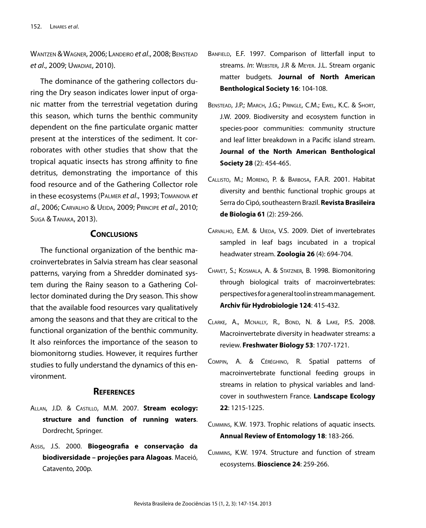Wantzen & Wagner, 2006; Landeiro *et al*., 2008; Benstead *et al*., 2009; Uwadiae, 2010).

The dominance of the gathering collectors during the Dry season indicates lower input of organic matter from the terrestrial vegetation during this season, which turns the benthic community dependent on the fine particulate organic matter present at the interstices of the sediment. It corroborates with other studies that show that the tropical aquatic insects has strong affinity to fine detritus, demonstrating the importance of this food resource and of the Gathering Collector role in these ecosystems (Palmer *et al*., 1993; Tomanova *et al*., 2006; Carvalho & Ueida, 2009; Principe *et al*., 2010; Suga & Tanaka, 2013).

# **Conclusions**

The functional organization of the benthic macroinvertebrates in Salvia stream has clear seasonal patterns, varying from a Shredder dominated system during the Rainy season to a Gathering Collector dominated during the Dry season. This show that the available food resources vary qualitatively among the seasons and that they are critical to the functional organization of the benthic community. It also reinforces the importance of the season to biomonitorng studies. However, it requires further studies to fully understand the dynamics of this environment.

## **References**

- Allan, J.D. & Castillo, M.M. 2007. **Stream ecology: structure and function of running waters**. Dordrecht, Springer.
- Assis, J.S. 2000. **Biogeografia e conservação da biodiversidade – projeções para Alagoas**. Maceió, Catavento, 200p.
- BANFIELD, E.F. 1997. Comparison of litterfall input to streams. *In*: WEBSTER, J.R & MEYER. J.L. Stream organic matter budgets. **Journal of North American Benthological Society 16**: 104-108.
- Benstead, J.P.; March, J.G.; Pringle, C.M.; Ewel, K.C. & Short, J.W. 2009. Biodiversity and ecosystem function in species-poor communities: community structure and leaf litter breakdown in a Pacific island stream. **Journal of the North American Benthological Society 28** (2): 454-465.
- Callisto, M.; Moreno, P. & Barbosa, F.A.R. 2001. Habitat diversity and benthic functional trophic groups at Serra do Cipó, southeastern Brazil. **Revista Brasileira de Biologia 61** (2): 259-266.
- CARVALHO, E.M. & UIEDA, V.S. 2009. Diet of invertebrates sampled in leaf bags incubated in a tropical headwater stream. **Zoologia 26** (4): 694-704.
- Chavet, S.; Kosmala, A. & Statzner, B. 1998. Biomonitoring through biological traits of macroinvertebrates: perspectives for a general tool in stream management. **Archiv für Hydrobiologie 124**: 415-432.
- Clarke, A., Mcnally, R., Bond, N. & Lake, P.S. 2008. Macroinvertebrate diversity in headwater streams: a review. **Freshwater Biology 53**: 1707-1721.
- Compin, A. & Céréghino, R. Spatial patterns of macroinvertebrate functional feeding groups in streams in relation to physical variables and landcover in southwestern France. **Landscape Ecology 22**: 1215-1225.
- Cummins, K.W. 1973. Trophic relations of aquatic insects. **Annual Review of Entomology 18**: 183-266.
- Cummins, K.W. 1974. Structure and function of stream ecosystems. **Bioscience 24**: 259-266.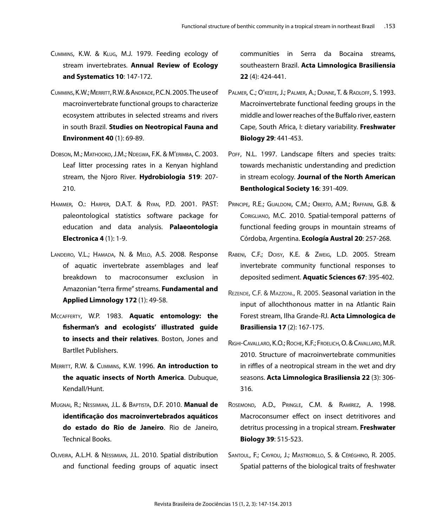- Cummins, K.W. & Klug, M.J. 1979. Feeding ecology of stream invertebrates. **Annual Review of Ecology and Systematics 10**: 147-172.
- Cummins, K.W.; Merritt, R.W. & Andrade, P.C.N. 2005. The use of macroinvertebrate functional groups to characterize ecosystem attributes in selected streams and rivers in south Brazil. **Studies on Neotropical Fauna and Environment 40** (1): 69-89.
- Dobson, M.; Mathooko, J.M.; Ndegwa, F.K. & M'erimba, C. 2003. Leaf litter processing rates in a Kenyan highland stream, the Njoro River. **Hydrobiologia 519**: 207- 210.
- Hammer, O.: Harper, D.A.T. & Ryan, P.D. 2001. PAST: paleontological statistics software package for education and data analysis. **Palaeontologia Electronica 4** (1): 1-9.
- Landeiro, V.L.; Hamada, N. & Melo, A.S. 2008. Response of aquatic invertebrate assemblages and leaf breakdown to macroconsumer exclusion in Amazonian "terra firme" streams. **Fundamental and Applied Limnology 172** (1): 49-58.
- Mccafferty, W.P. 1983. **Aquatic entomology: the fisherman's and ecologists' illustrated guide to insects and their relatives**. Boston, Jones and Bartllet Publishers.
- Merritt, R.W. & Cummins, K.W. 1996. **An introduction to the aquatic insects of North America**. Dubuque, Kendall/Hunt.
- Mugnai, R.; Nessimian, J.L. & Baptista, D.F. 2010. **Manual de identificação dos macroinvertebrados aquáticos do estado do Rio de Janeiro**. Rio de Janeiro, Technical Books.
- Oliveira, A.L.H. & Nessimian, J.L. 2010. Spatial distribution and functional feeding groups of aquatic insect

communities in Serra da Bocaina streams, southeastern Brazil. **Acta Limnologica Brasiliensia 22** (4): 424-441.

- PALMER, C.; O'KEEFE, J.; PALMER, A.; DUNNE, T. & RADLOFF, S. 1993. Macroinvertebrate functional feeding groups in the middle and lower reaches of the Buffalo river, eastern Cape, South Africa, I: dietary variability. **Freshwater Biology 29**: 441-453.
- POFF, N.L. 1997. Landscape filters and species traits: towards mechanistic understanding and prediction in stream ecology. **Journal of the North American Benthological Society 16**: 391-409.
- PRINCIPE, R.E.; GUALDONI, C.M.; OBERTO, A.M.; RAFFAINI, G.B. & Corigliano, M.C. 2010. Spatial-temporal patterns of functional feeding groups in mountain streams of Córdoba, Argentina. **Ecología Austral 20**: 257-268.
- Rabeni, C.F.; Doisy, K.E. & Zweig, L.D. 2005. Stream invertebrate community functional responses to deposited sediment. **Aquatic Sciences 67**: 395-402.
- Rezende, C.F. & Mazzoni., R. 2005. Seasonal variation in the input of allochthonous matter in na Atlantic Rain Forest stream, Ilha Grande-RJ. **Acta Limnologica de Brasiliensia 17** (2): 167-175.
- Righi-Cavallaro, K.O.; Roche, K.F.; Froelich, O. & Cavallaro, M.R. 2010. Structure of macroinvertebrate communities in riffles of a neotropical stream in the wet and dry seasons. **Acta Limnologica Brasiliensia 22** (3): 306- 316.
- Rosemond, A.D., Pringle, C.M. & Ramírez, A. 1998. Macroconsumer effect on insect detritivores and detritus processing in a tropical stream. **Freshwater Biology 39**: 515-523.
- SANTOUL, F.; CAYROU, J.; MASTRORILLO, S. & CÉRÉGHINO, R. 2005. Spatial patterns of the biological traits of freshwater